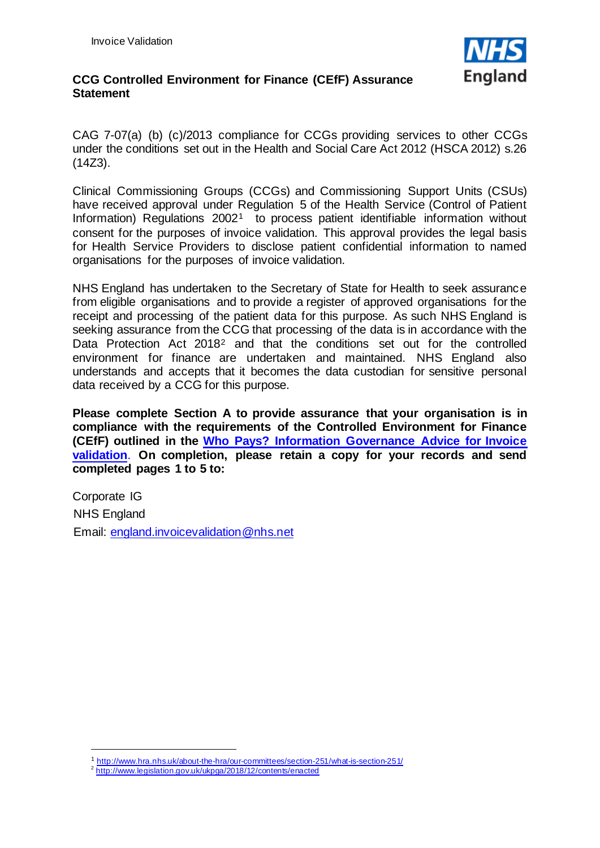

## **CCG Controlled Environment for Finance (CEfF) Assurance Statement**

CAG 7-07(a) (b) (c)/2013 compliance for CCGs providing services to other CCGs under the conditions set out in the Health and Social Care Act 2012 (HSCA 2012) s.26 (14Z3).

Clinical Commissioning Groups (CCGs) and Commissioning Support Units (CSUs) have received approval under Regulation 5 of the Health Service (Control of Patient Information) Regulations 2002<sup>[1](#page-0-0)</sup> to process patient identifiable information without consent for the purposes of invoice validation. This approval provides the legal basis for Health Service Providers to disclose patient confidential information to named organisations for the purposes of invoice validation.

NHS England has undertaken to the Secretary of State for Health to seek assurance from eligible organisations and to provide a register of approved organisations for the receipt and processing of the patient data for this purpose. As such NHS England is seeking assurance from the CCG that processing of the data is in accordance with the Data Protection Act [2](#page-0-1)018<sup>2</sup> and that the conditions set out for the controlled environment for finance are undertaken and maintained. NHS England also understands and accepts that it becomes the data custodian for sensitive personal data received by a CCG for this purpose.

**Please complete Section A to provide assurance that your organisation is in compliance with the requirements of the Controlled Environment for Finance (CEfF) outlined in the [Who Pays? Information Governance Advice for Invoice](https://www.england.nhs.uk/wp-content/uploads/2013/12/who-pays-advice.pdf)  [validation](https://www.england.nhs.uk/wp-content/uploads/2013/12/who-pays-advice.pdf)**. **On completion, please retain a copy for your records and send completed pages 1 to 5 to:**

Corporate IG NHS England Email: england.invoicevalidation@nhs.net

<span id="page-0-0"></span><sup>1</sup> <http://www.hra.nhs.uk/about-the-hra/our-committees/section-251/what-is-section-251/>

<span id="page-0-1"></span><sup>2</sup> http://www.legislation.gov.uk/ukpga/2018/12/contents/enacted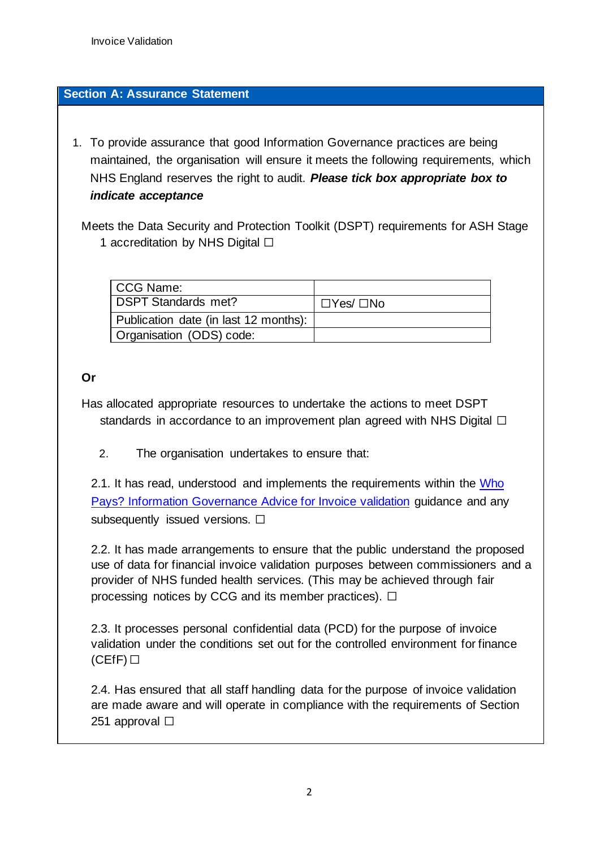# **Section A: Assurance Statement**

1. To provide assurance that good Information Governance practices are being maintained, the organisation will ensure it meets the following requirements, which NHS England reserves the right to audit. *Please tick box appropriate box to indicate acceptance*

Meets the Data Security and Protection Toolkit (DSPT) requirements for ASH Stage 1 accreditation by NHS Digital □

| CCG Name:                             |           |
|---------------------------------------|-----------|
| <b>DSPT Standards met?</b>            | □Yes/ □No |
| Publication date (in last 12 months): |           |
| Organisation (ODS) code:              |           |

# **Or**

Has allocated appropriate resources to undertake the actions to meet DSPT standards in accordance to an improvement plan agreed with NHS Digital  $\Box$ 

2. The organisation undertakes to ensure that:

2.1. It has read, understood and implements the requirements within the [Who](https://www.england.nhs.uk/wp-content/uploads/2013/12/who-pays-advice.pdf)  [Pays? Information Governance Advice for Invoice validation](https://www.england.nhs.uk/wp-content/uploads/2013/12/who-pays-advice.pdf) guidance and any subsequently issued versions.  $\Box$ 

2.2. It has made arrangements to ensure that the public understand the proposed use of data for financial invoice validation purposes between commissioners and a provider of NHS funded health services. (This may be achieved through fair processing notices by CCG and its member practices).  $\Box$ 

2.3. It processes personal confidential data (PCD) for the purpose of invoice validation under the conditions set out for the controlled environment for finance  $(CEff)$ 

2.4. Has ensured that all staff handling data for the purpose of invoice validation are made aware and will operate in compliance with the requirements of Section 251 approval □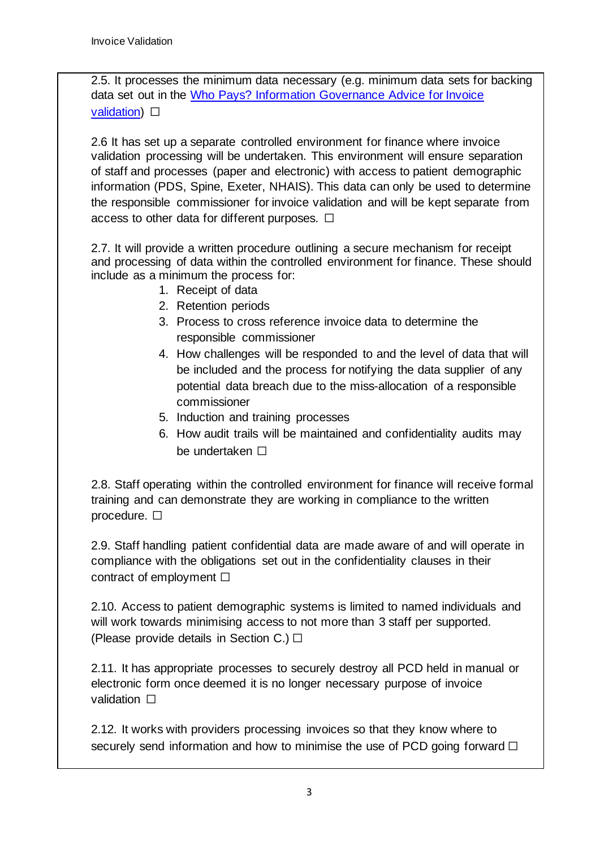2.5. It processes the minimum data necessary (e.g. minimum data sets for backing data set out in the [Who Pays? Information Governance Advice for Invoice](https://www.england.nhs.uk/wp-content/uploads/2013/12/who-pays-advice.pdf)  [validation\)](https://www.england.nhs.uk/wp-content/uploads/2013/12/who-pays-advice.pdf)  $□$ 

2.6 It has set up a separate controlled environment for finance where invoice validation processing will be undertaken. This environment will ensure separation of staff and processes (paper and electronic) with access to patient demographic information (PDS, Spine, Exeter, NHAIS). This data can only be used to determine the responsible commissioner for invoice validation and will be kept separate from access to other data for different purposes.  $\Box$ 

2.7. It will provide a written procedure outlining a secure mechanism for receipt and processing of data within the controlled environment for finance. These should include as a minimum the process for:

- 1. Receipt of data
- 2. Retention periods
- 3. Process to cross reference invoice data to determine the responsible commissioner
- 4. How challenges will be responded to and the level of data that will be included and the process for notifying the data supplier of any potential data breach due to the miss-allocation of a responsible commissioner
- 5. Induction and training processes
- 6. How audit trails will be maintained and confidentiality audits may be undertaken □

2.8. Staff operating within the controlled environment for finance will receive formal training and can demonstrate they are working in compliance to the written procedure. □

2.9. Staff handling patient confidential data are made aware of and will operate in compliance with the obligations set out in the confidentiality clauses in their contract of employment  $\Box$ 

2.10. Access to patient demographic systems is limited to named individuals and will work towards minimising access to not more than 3 staff per supported. (Please provide details in Section C.)  $\Box$ 

2.11. It has appropriate processes to securely destroy all PCD held in manual or electronic form once deemed it is no longer necessary purpose of invoice validation **□** 

2.12. It works with providers processing invoices so that they know where to securely send information and how to minimise the use of PCD going forward  $\Box$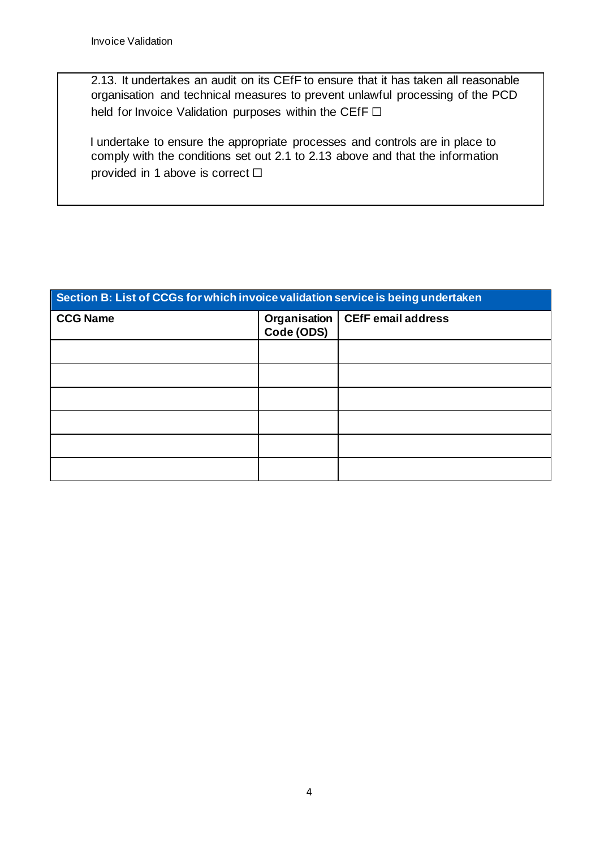2.13. It undertakes an audit on its CEfF to ensure that it has taken all reasonable organisation and technical measures to prevent unlawful processing of the PCD held for Invoice Validation purposes within the CEfF □

I undertake to ensure the appropriate processes and controls are in place to comply with the conditions set out 2.1 to 2.13 above and that the information provided in 1 above is correct  $□$ 

| Section B: List of CCGs for which invoice validation service is being undertaken |                              |                           |  |  |
|----------------------------------------------------------------------------------|------------------------------|---------------------------|--|--|
| <b>CCG Name</b>                                                                  | Organisation  <br>Code (ODS) | <b>CEfF email address</b> |  |  |
|                                                                                  |                              |                           |  |  |
|                                                                                  |                              |                           |  |  |
|                                                                                  |                              |                           |  |  |
|                                                                                  |                              |                           |  |  |
|                                                                                  |                              |                           |  |  |
|                                                                                  |                              |                           |  |  |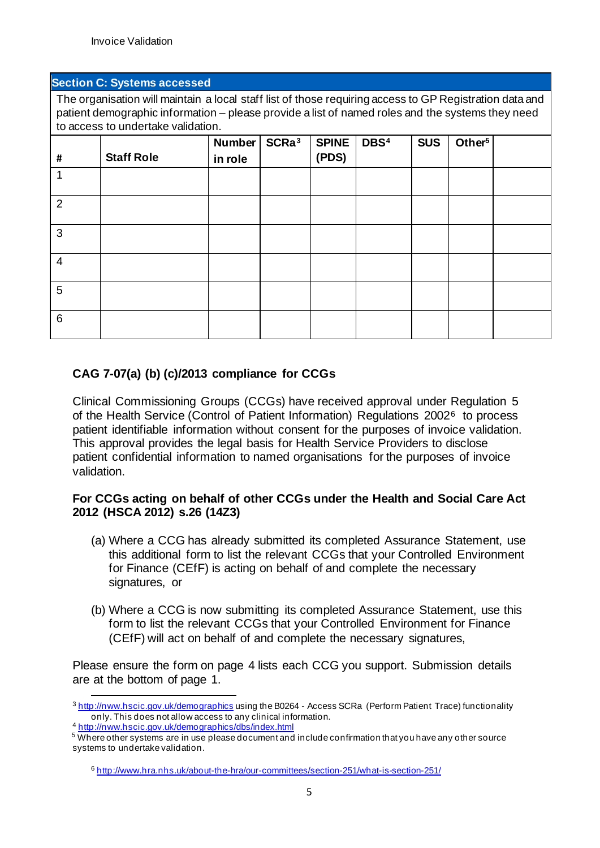#### **Section C: Systems accessed**

The organisation will maintain a local staff list of those requiring access to GP Registration data and patient demographic information – please provide a list of named roles and the systems they need to access to undertake validation.

| #               | <b>Staff Role</b> | Number<br>in role | SCRa <sup>3</sup> | <b>SPINE</b><br>(PDS) | DBS <sup>4</sup> | <b>SUS</b> | Other <sup>5</sup> |  |
|-----------------|-------------------|-------------------|-------------------|-----------------------|------------------|------------|--------------------|--|
|                 |                   |                   |                   |                       |                  |            |                    |  |
| 2               |                   |                   |                   |                       |                  |            |                    |  |
| 3               |                   |                   |                   |                       |                  |            |                    |  |
| $\overline{4}$  |                   |                   |                   |                       |                  |            |                    |  |
| $5\phantom{.0}$ |                   |                   |                   |                       |                  |            |                    |  |
| $6\phantom{1}$  |                   |                   |                   |                       |                  |            |                    |  |

# **CAG 7-07(a) (b) (c)/2013 compliance for CCGs**

Clinical Commissioning Groups (CCGs) have received approval under Regulation 5 of the Health Service (Control of Patient Information) Regulations 2002[6](#page-4-3) to process patient identifiable information without consent for the purposes of invoice validation. This approval provides the legal basis for Health Service Providers to disclose patient confidential information to named organisations for the purposes of invoice validation.

### **For CCGs acting on behalf of other CCGs under the Health and Social Care Act 2012 (HSCA 2012) s.26 (14Z3)**

- (a) Where a CCG has already submitted its completed Assurance Statement, use this additional form to list the relevant CCGs that your Controlled Environment for Finance (CEfF) is acting on behalf of and complete the necessary signatures, or
- (b) Where a CCG is now submitting its completed Assurance Statement, use this form to list the relevant CCGs that your Controlled Environment for Finance (CEfF) will act on behalf of and complete the necessary signatures,

Please ensure the form on page 4 lists each CCG you support. Submission details are at the bottom of page 1.

<sup>4</sup> <http://nww.hscic.gov.uk/demographics/dbs/index.html>

<span id="page-4-0"></span><sup>3</sup> <http://nww.hscic.gov.uk/demographics> [us](http://nww.hscic.gov.uk/demographics)ing the B0264 - Access SCRa (Perform Patient Trace) functionality only. This does not allow access to any clinical information.

<span id="page-4-3"></span><span id="page-4-2"></span><span id="page-4-1"></span><sup>5</sup> Where other systems are in use please document and include confirmation that you have any other source systems to undertake validation.

<sup>6</sup> <http://www.hra.nhs.uk/about-the-hra/our-committees/section-251/what-is-section-251/>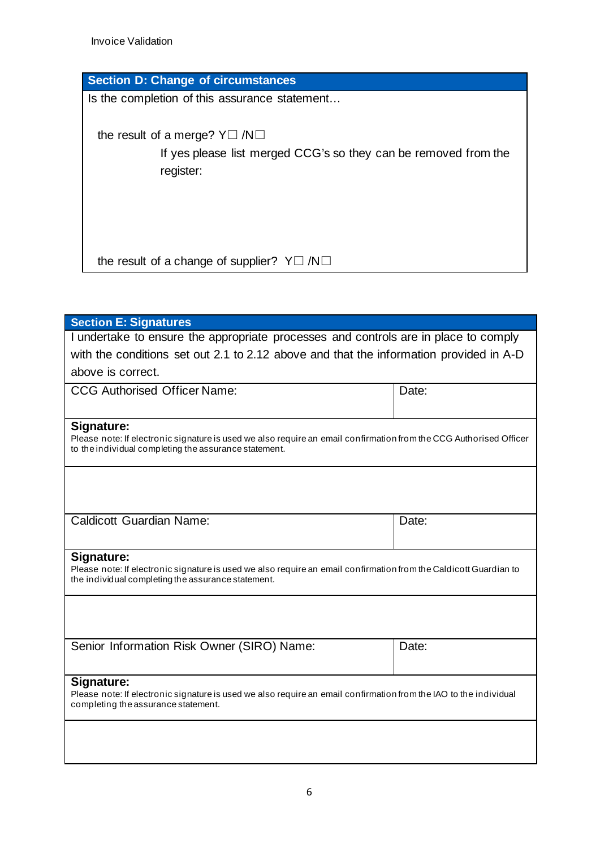Invoice Validation

| <b>Section D: Change of circumstances</b>                       |
|-----------------------------------------------------------------|
| Is the completion of this assurance statement                   |
|                                                                 |
| the result of a merge? $Y \square / N \square$                  |
| If yes please list merged CCG's so they can be removed from the |
| register:                                                       |
|                                                                 |
|                                                                 |
|                                                                 |
|                                                                 |
| the result of a change of supplier? $Y \square / N \square$     |
|                                                                 |

| <b>Section E: Signatures</b>                                                                                                     |       |  |  |  |  |
|----------------------------------------------------------------------------------------------------------------------------------|-------|--|--|--|--|
| I undertake to ensure the appropriate processes and controls are in place to comply                                              |       |  |  |  |  |
| with the conditions set out 2.1 to 2.12 above and that the information provided in A-D                                           |       |  |  |  |  |
| above is correct.                                                                                                                |       |  |  |  |  |
| <b>CCG Authorised Officer Name:</b>                                                                                              | Date: |  |  |  |  |
|                                                                                                                                  |       |  |  |  |  |
|                                                                                                                                  |       |  |  |  |  |
| Signature:<br>Please note: If electronic signature is used we also require an email confirmation from the CCG Authorised Officer |       |  |  |  |  |
| to the individual completing the assurance statement.                                                                            |       |  |  |  |  |
|                                                                                                                                  |       |  |  |  |  |
|                                                                                                                                  |       |  |  |  |  |
|                                                                                                                                  |       |  |  |  |  |
|                                                                                                                                  |       |  |  |  |  |
| <b>Caldicott Guardian Name:</b>                                                                                                  | Date: |  |  |  |  |
|                                                                                                                                  |       |  |  |  |  |
| Signature:                                                                                                                       |       |  |  |  |  |
| Please note: If electronic signature is used we also require an email confirmation from the Caldicott Guardian to                |       |  |  |  |  |
| the individual completing the assurance statement.                                                                               |       |  |  |  |  |
|                                                                                                                                  |       |  |  |  |  |
|                                                                                                                                  |       |  |  |  |  |
|                                                                                                                                  |       |  |  |  |  |
| Senior Information Risk Owner (SIRO) Name:                                                                                       | Date: |  |  |  |  |
|                                                                                                                                  |       |  |  |  |  |
| Signature:                                                                                                                       |       |  |  |  |  |
| Please note: If electronic signature is used we also require an email confirmation from the IAO to the individual                |       |  |  |  |  |
| completing the assurance statement.                                                                                              |       |  |  |  |  |
|                                                                                                                                  |       |  |  |  |  |
|                                                                                                                                  |       |  |  |  |  |
|                                                                                                                                  |       |  |  |  |  |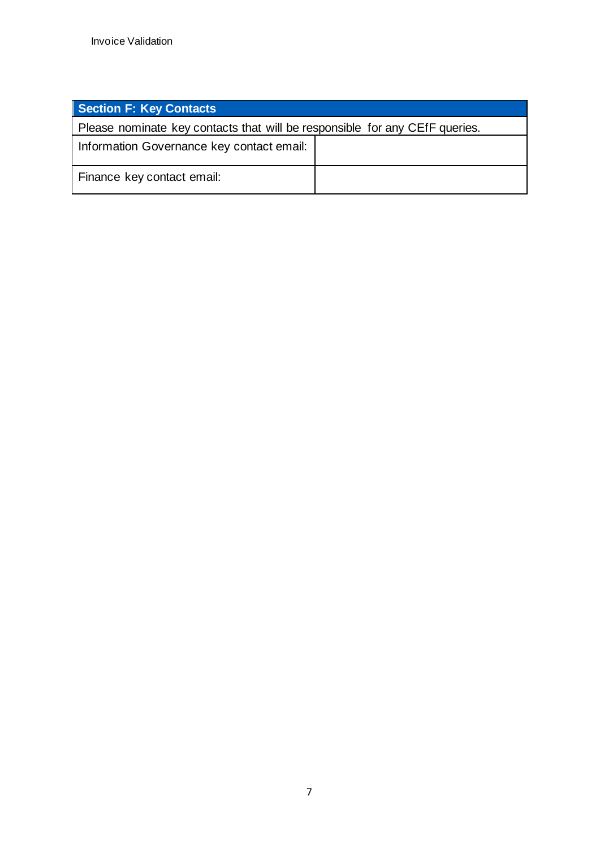| <b>Section F: Key Contacts</b>                                              |  |  |  |  |  |
|-----------------------------------------------------------------------------|--|--|--|--|--|
| Please nominate key contacts that will be responsible for any CEfF queries. |  |  |  |  |  |
| Information Governance key contact email:                                   |  |  |  |  |  |
| Finance key contact email:                                                  |  |  |  |  |  |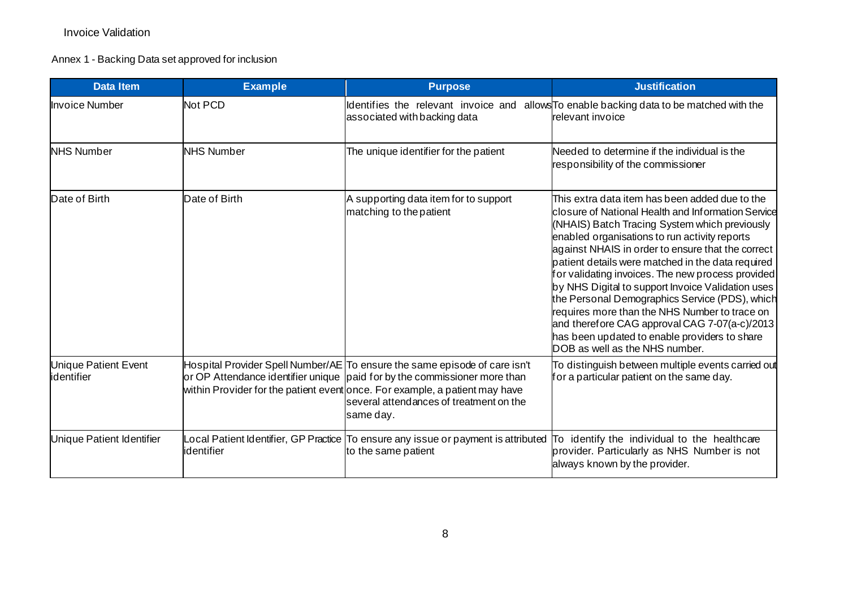### Invoice Validation

# Annex 1 - Backing Data set approved for inclusion

| <b>Data Item</b>                          | <b>Example</b>    | <b>Purpose</b>                                                                                                                                                                                                                                                                                 | <b>Justification</b>                                                                                                                                                                                                                                                                                                                                                                                                                                                                                                                                                                                                                                              |
|-------------------------------------------|-------------------|------------------------------------------------------------------------------------------------------------------------------------------------------------------------------------------------------------------------------------------------------------------------------------------------|-------------------------------------------------------------------------------------------------------------------------------------------------------------------------------------------------------------------------------------------------------------------------------------------------------------------------------------------------------------------------------------------------------------------------------------------------------------------------------------------------------------------------------------------------------------------------------------------------------------------------------------------------------------------|
| <b>Invoice Number</b>                     | Not PCD           | Identifies the relevant invoice and<br>associated with backing data                                                                                                                                                                                                                            | allows <sup>To</sup> enable backing data to be matched with the<br>relevant invoice                                                                                                                                                                                                                                                                                                                                                                                                                                                                                                                                                                               |
| <b>NHS Number</b>                         | <b>NHS Number</b> | The unique identifier for the patient                                                                                                                                                                                                                                                          | Needed to determine if the individual is the<br>responsibility of the commissioner                                                                                                                                                                                                                                                                                                                                                                                                                                                                                                                                                                                |
| Date of Birth                             | Date of Birth     | A supporting data item for to support<br>matching to the patient                                                                                                                                                                                                                               | This extra data item has been added due to the<br>closure of National Health and Information Service<br>(NHAIS) Batch Tracing System which previously<br>enabled organisations to run activity reports<br>against NHAIS in order to ensure that the correct<br>patient details were matched in the data required<br>for validating invoices. The new process provided<br>by NHS Digital to support Invoice Validation uses<br>the Personal Demographics Service (PDS), which<br>requires more than the NHS Number to trace on<br>and therefore CAG approval CAG 7-07(a-c)/2013<br>has been updated to enable providers to share<br>DOB as well as the NHS number. |
| <b>Unique Patient Event</b><br>identifier |                   | Hospital Provider Spell Number/AE To ensure the same episode of care isn't<br>or OP Attendance identifier unique paid for by the commissioner more than<br>within Provider for the patient event once. For example, a patient may have<br>several attendances of treatment on the<br>same day. | To distinguish between multiple events carried out<br>for a particular patient on the same day.                                                                                                                                                                                                                                                                                                                                                                                                                                                                                                                                                                   |
| Unique Patient Identifier                 | identifier        | Local Patient Identifier, GP Practice To ensure any issue or payment is attributed<br>to the same patient                                                                                                                                                                                      | To identify the individual to the healthcare<br>provider. Particularly as NHS Number is not<br>always known by the provider.                                                                                                                                                                                                                                                                                                                                                                                                                                                                                                                                      |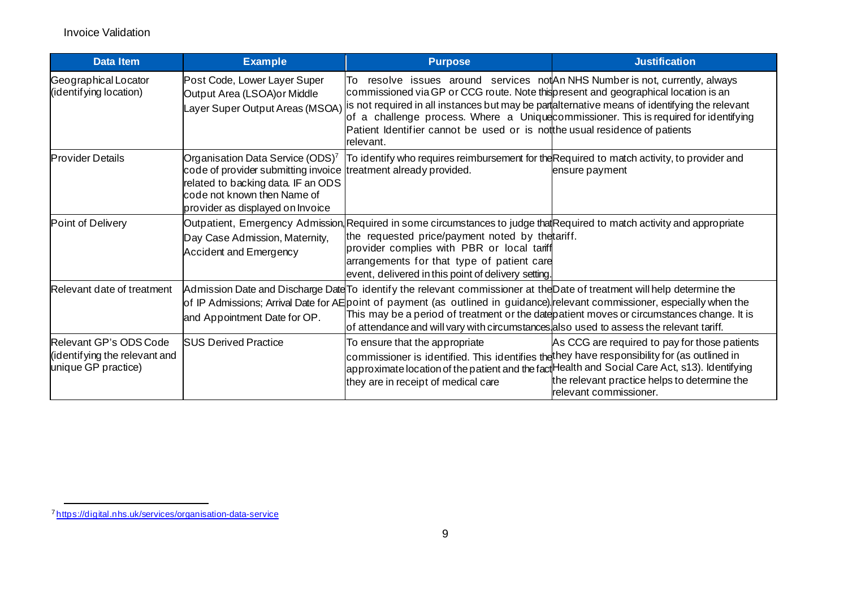<span id="page-8-0"></span>

| <b>Data Item</b>                                                               | <b>Example</b>                                                                                                                                                                                                           | <b>Purpose</b>                                                                                                                                                                                                                                                                                                                                                                                                                                  | <b>Justification</b>                                                                                                    |
|--------------------------------------------------------------------------------|--------------------------------------------------------------------------------------------------------------------------------------------------------------------------------------------------------------------------|-------------------------------------------------------------------------------------------------------------------------------------------------------------------------------------------------------------------------------------------------------------------------------------------------------------------------------------------------------------------------------------------------------------------------------------------------|-------------------------------------------------------------------------------------------------------------------------|
| Geographical Locator<br>(identifying location)                                 | Post Code, Lower Layer Super<br>Output Area (LSOA) or Middle<br>Layer Super Output Areas (MSOA)                                                                                                                          | lTo l<br>commissioned via GP or CCG route. Note this present and geographical location is an<br>is not required in all instances but may be partalternative means of identifying the relevant<br>of a challenge process. Where a Unique commissioner. This is required for identifying<br>Patient Identifier cannot be used or is notthe usual residence of patients<br>Irelevant.                                                              | resolve issues around services not An NHS Number is not, currently, always                                              |
| <b>Provider Details</b>                                                        | Organisation Data Service (ODS) <sup>7</sup><br>code of provider submitting invoice treatment already provided.<br>related to backing data. IF an ODS<br>code not known then Name of<br>provider as displayed on Invoice | To identify who requires reimbursement for the Required to match activity, to provider and                                                                                                                                                                                                                                                                                                                                                      | ensure payment                                                                                                          |
| Point of Delivery                                                              | Day Case Admission, Maternity,<br>Accident and Emergency                                                                                                                                                                 | Outpatient, Emergency Admission, Required in some circumstances to judge that Required to match activity and appropriate<br>the requested price/payment noted by thetariff.<br>provider complies with PBR or local tariff<br>arrangements for that type of patient care<br>event, delivered in this point of delivery setting.                                                                                                                  |                                                                                                                         |
| Relevant date of treatment                                                     | and Appointment Date for OP.                                                                                                                                                                                             | Admission Date and Discharge Date To identify the relevant commissioner at the Date of treatment will help determine the<br>of IP Admissions; Arrival Date for AE point of payment (as outlined in guidance) relevant commissioner, especially when the<br>This may be a period of treatment or the datepatient moves or circumstances change. It is<br>of attendance and will vary with circumstances also used to assess the relevant tariff. |                                                                                                                         |
| Relevant GP's ODS Code<br>(identifying the relevant and<br>unique GP practice) | <b>SUS Derived Practice</b>                                                                                                                                                                                              | To ensure that the appropriate<br>commissioner is identified. This identifies the they have responsibility for (as outlined in<br>approximate location of the patient and the fact Health and Social Care Act, s13). Identifying<br>they are in receipt of medical care                                                                                                                                                                         | As CCG are required to pay for those patients<br>the relevant practice helps to determine the<br>relevant commissioner. |

<sup>7</sup> <https://digital.nhs.uk/services/organisation-data-service>